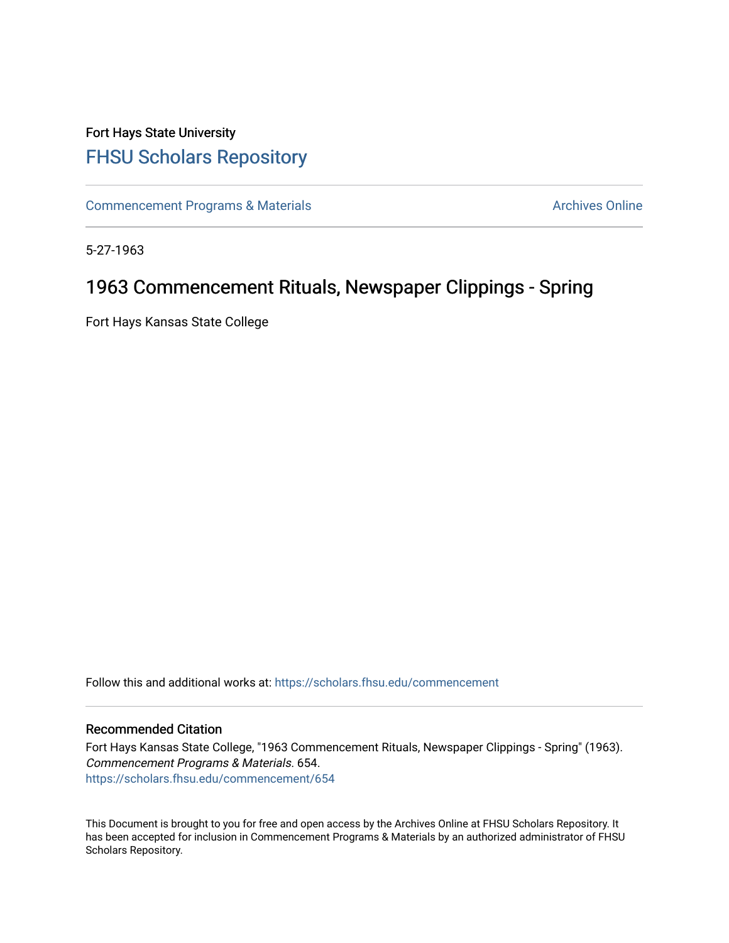## Fort Hays State University [FHSU Scholars Repository](https://scholars.fhsu.edu/)

[Commencement Programs & Materials](https://scholars.fhsu.edu/commencement) **Archives Online** Archives Online

5-27-1963

## 1963 Commencement Rituals, Newspaper Clippings - Spring

Fort Hays Kansas State College

Follow this and additional works at: [https://scholars.fhsu.edu/commencement](https://scholars.fhsu.edu/commencement?utm_source=scholars.fhsu.edu%2Fcommencement%2F654&utm_medium=PDF&utm_campaign=PDFCoverPages)

### Recommended Citation

Fort Hays Kansas State College, "1963 Commencement Rituals, Newspaper Clippings - Spring" (1963). Commencement Programs & Materials. 654. [https://scholars.fhsu.edu/commencement/654](https://scholars.fhsu.edu/commencement/654?utm_source=scholars.fhsu.edu%2Fcommencement%2F654&utm_medium=PDF&utm_campaign=PDFCoverPages)

This Document is brought to you for free and open access by the Archives Online at FHSU Scholars Repository. It has been accepted for inclusion in Commencement Programs & Materials by an authorized administrator of FHSU Scholars Repository.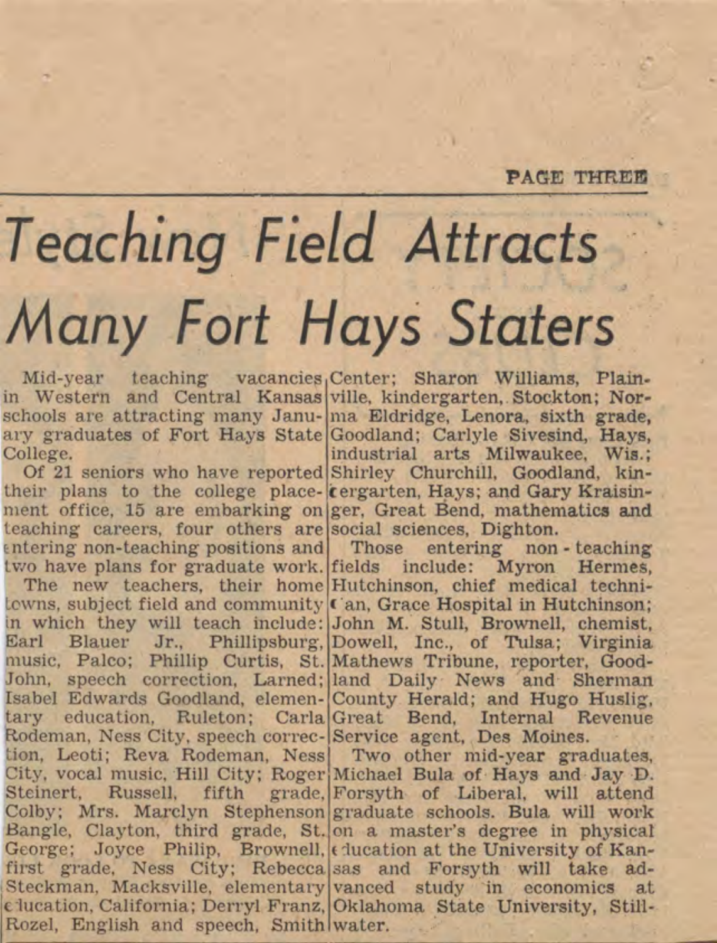### **PAGE THREE**

## Teaching Field Attracts Many Fort Hays Staters

Mid-year teaching vacancies.Center: Sharon Williams, Plainin Western and Central Kansas ville, kindergarten, Stockton; Norschools are attracting many Janu- ma Eldridge, Lenora, sixth grade. ary graduates of Fort Hays State Goodland: Carlyle Sivesind, Hays. College.

teaching careers, four others are social sciences. Dighton.  $[entering$  non-teaching positions and Those entering non-teaching

towns, subject field and community ('an, Grace Hospital in Hutchinson; in which they will teach include: John M. Stull, Brownell, chemist, Earl Blauer Jr., Phillipsburg, Dowell, Inc., of Tulsa; Virginia music, Palco; Phillip Curtis, St. Mathews Tribune, reporter, Good-John, speech correction, Larned; land Daily News and Sherman Isabel Edwards Goodland, elemen- County Herald; and Hugo Huslig, tary education. Ruleton: Carla Great Bend. Internal Revenue Rodeman, Ness City, speech correc-Service agent. Des Moines. tion, Leoti; Reva Rodeman, Ness Two other mid-year graduates, City, vocal music, Hill City; Roger Michael Bula of Hays and Jay D. Steinert, Russell, fifth grade, Forsyth of Liberal, will attend Colby; Mrs. Marclyn Stephenson graduate schools. Bula will work Bangle, Clayton, third grade, St. on a master's degree in physical George; Joyce Philip, Brownell, (ducation at the University of Kanfirst grade, Ness City; Rebecca sas and Forsyth will take ad-Steckman, Macksville, elementary vanced study in economics at clucation, California; Derryl Franz, Oklahoma State University, Still-Rozel, English and speech, Smith water.

industrial arts Milwaukee. Wis.: Of 21 seniors who have reported Shirley Churchill, Goodland, kintheir plans to the college place-*tergarten*, Hays; and Gary Kraisinment office, 15 are embarking on ger, Great Bend, mathematics and

two have plans for graduate work. fields include: Myron Hermes. The new teachers, their home Hutchinson, chief medical techni-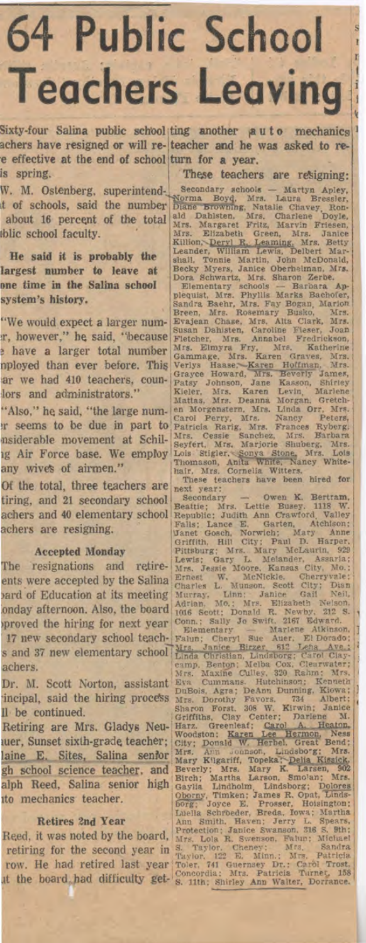# **64 Public School Teachers Leaving**

Sixty-four Salina public school ting another auto mechanics achers have resigned or will re-teacher and he was asked to ree effective at the end of school turn for a year. is spring. These teachers are resigning:

W. M. Ostenberg, superintend-<br>
W. M. Ostenberg, superintend-<br>
Morma Boyd, Mrs. Laura Bressler, and the number Diane Browning, Natalie Clavey, Ron-<br>
about 16 percent of the total and Dahlsten, Mrs. Charles Doyle,<br>
blic scho

about 16 percent of the total and Mars. Margaret Fritz, Marvin Friesen,<br>blic school faculty.<br>
He said it is probably the standard Mars. Margaret Fritz, Marvin Friesen,<br>
He said it is probably the standard, William Lewis, "Also," he said, "the large num- en Morgenstern, Mrs. Linda Orr, Mrs.<br>
ar seems to be due in part to Carol Perry, Mrs. Namey Peters,<br>
are seems identified movement at Schil- Mrs. Cessie Sanchez, Mrs. Earbara<br>
any Mire For

any WIVes of antes trackers are next year:<br>
tiring, and 21 secondary school Secondary<br>
Secondary<br>
achers and 40 elementary school Republic: Judith Ann Crawford Valuey<br>
achers are resigning.<br>
The resigning. This is Lance E. The resignations and redire levels: Gary L. Metander, Assumeria;<br>
The resignations and redire large Moveme Kansas clty, Mo.<br>
2011 of Education at its meeting thermes L. MateNokeed Clty, No.<br>
2013 or the board of Education Reed, it was noted by the board, Protection; Janue Swanson, 216 S. 8th;<br>retiring for the second year in S. Cola R. Swenson, 216 S. 8th;<br>retiring for the second year in S. Taylor. Cheney; Mrs. Bandra<br>row. He had retired las